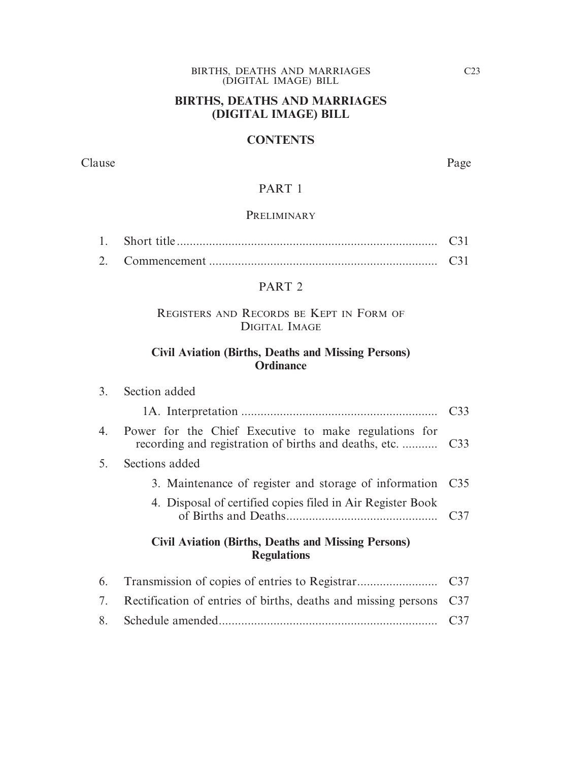#### BIRTHS, DEATHS AND MARRIAGES (DIGITAL IMAGE) BILL

# **BIRTHS, DEATHS AND MARRIAGES (DIGITAL IMAGE) BILL**

#### **CONTENTS**

Clause Page

# PART 1

#### PRELIMINARY

2. Commencement ....................................................................... C31

#### PART 2

#### REGISTERS AND RECORDS BE KEPT IN FORM OF DIGITAL IMAGE

# **Civil Aviation (Births, Deaths and Missing Persons) Ordinance**

| 3. | Section added                                                                    |                 |
|----|----------------------------------------------------------------------------------|-----------------|
|    |                                                                                  | C33             |
| 4. | Power for the Chief Executive to make regulations for                            |                 |
| 5. | Sections added                                                                   |                 |
|    | 3. Maintenance of register and storage of information C35                        |                 |
|    | 4. Disposal of certified copies filed in Air Register Book                       | C <sub>37</sub> |
|    | <b>Civil Aviation (Births, Deaths and Missing Persons)</b><br><b>Regulations</b> |                 |
| 6. |                                                                                  | C <sub>37</sub> |
| 7. | Rectification of entries of births, deaths and missing persons                   | C <sub>37</sub> |
|    |                                                                                  |                 |

8. Schedule amended.................................................................... C37

C23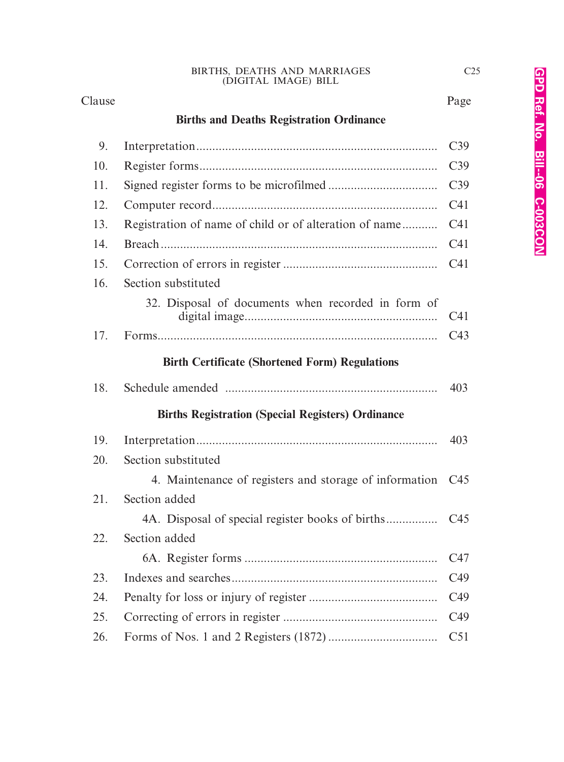#### Clause Page

# **Births and Deaths Registration Ordinance**

| 9.  |                                                          | C39             |
|-----|----------------------------------------------------------|-----------------|
| 10. |                                                          | C <sub>39</sub> |
| 11. |                                                          | C39             |
| 12. |                                                          | C <sub>41</sub> |
| 13. | Registration of name of child or of alteration of name   | C <sub>41</sub> |
| 14. |                                                          | C <sub>41</sub> |
| 15. |                                                          | C <sub>41</sub> |
| 16. | Section substituted                                      |                 |
|     | 32. Disposal of documents when recorded in form of       | C41             |
| 17. |                                                          | C43             |
|     | <b>Birth Certificate (Shortened Form) Regulations</b>    |                 |
| 18. |                                                          | 403             |
|     | <b>Births Registration (Special Registers) Ordinance</b> |                 |
| 19. |                                                          | 403             |
| 20. | Section substituted                                      |                 |
|     | 4. Maintenance of registers and storage of information   | C <sub>45</sub> |
| 21. | Section added                                            |                 |
|     |                                                          |                 |
| 22. | Section added                                            |                 |
|     |                                                          | C47             |
| 23. |                                                          | C <sub>49</sub> |
| 24. |                                                          | C <sub>49</sub> |
| 25. |                                                          | C <sub>49</sub> |
| 26. |                                                          | C51             |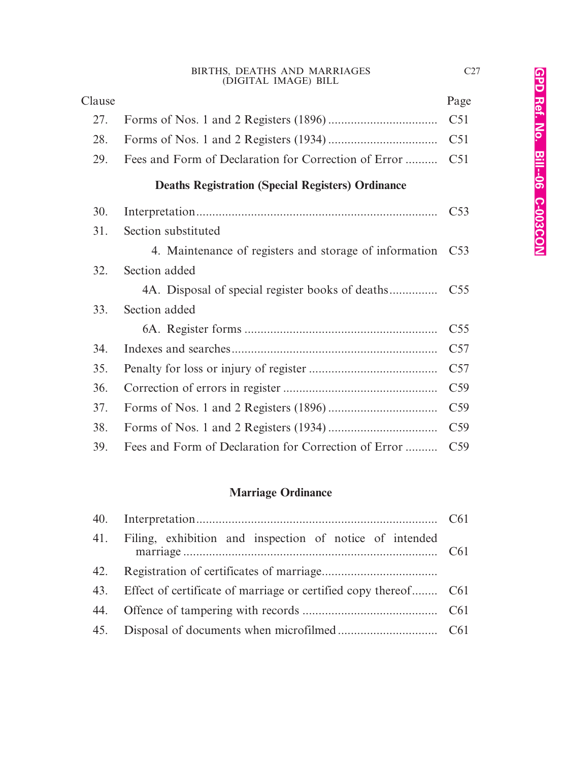| Clause |                                                          | Page            |
|--------|----------------------------------------------------------|-----------------|
| 27.    |                                                          | C51             |
| 28.    |                                                          | C51             |
| 29.    | Fees and Form of Declaration for Correction of Error     | C51             |
|        | <b>Deaths Registration (Special Registers) Ordinance</b> |                 |
| 30.    |                                                          | C <sub>53</sub> |
| 31.    | Section substituted                                      |                 |
|        | 4. Maintenance of registers and storage of information   | C53             |
| 32.    | Section added                                            |                 |
|        |                                                          | C <sub>55</sub> |
| 33.    | Section added                                            |                 |
|        |                                                          | C <sub>55</sub> |
| 34.    |                                                          | C57             |
| 35.    |                                                          | C57             |
| 36.    |                                                          | C <sub>59</sub> |
| 37.    |                                                          | C <sub>59</sub> |
| 38.    |                                                          | C <sub>59</sub> |
| 39.    | Fees and Form of Declaration for Correction of Error     | C <sub>59</sub> |
|        |                                                          |                 |

# **Marriage Ordinance**

|     | 41. Filing, exhibition and inspection of notice of intended         |  |
|-----|---------------------------------------------------------------------|--|
| 42. |                                                                     |  |
|     | 43. Effect of certificate of marriage or certified copy thereof C61 |  |
|     |                                                                     |  |
| 45. |                                                                     |  |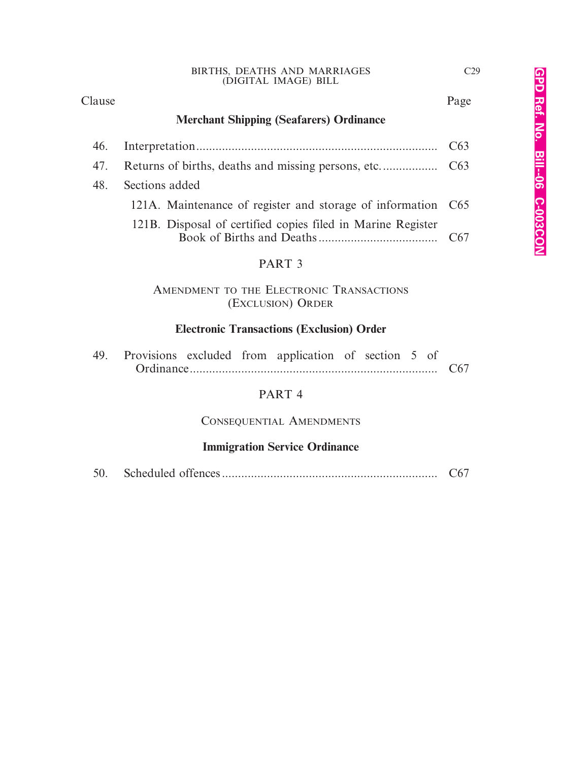#### Clause Page

C29

# **Merchant Shipping (Seafarers) Ordinance**

|     |                                                              | C63 |  |  |  |  |  |
|-----|--------------------------------------------------------------|-----|--|--|--|--|--|
| 47. | C63                                                          |     |  |  |  |  |  |
| 48. | Sections added                                               |     |  |  |  |  |  |
|     | 121A. Maintenance of register and storage of information C65 |     |  |  |  |  |  |
|     | 121B. Disposal of certified copies filed in Marine Register  |     |  |  |  |  |  |
|     | PART <sub>3</sub>                                            |     |  |  |  |  |  |
|     | AMENDMENT TO THE ELECTRONIC TRANSACTIONS                     |     |  |  |  |  |  |

(EXCLUSION) ORDER

# **Electronic Transactions (Exclusion) Order**

|  |  |  |  | 49. Provisions excluded from application of section 5 of |  |                 |  |  |
|--|--|--|--|----------------------------------------------------------|--|-----------------|--|--|
|  |  |  |  |                                                          |  | C <sub>67</sub> |  |  |

# PART 4

## CONSEQUENTIAL AMENDMENTS

## **Immigration Service Ordinance**

| 50. |  |  |  |
|-----|--|--|--|
|-----|--|--|--|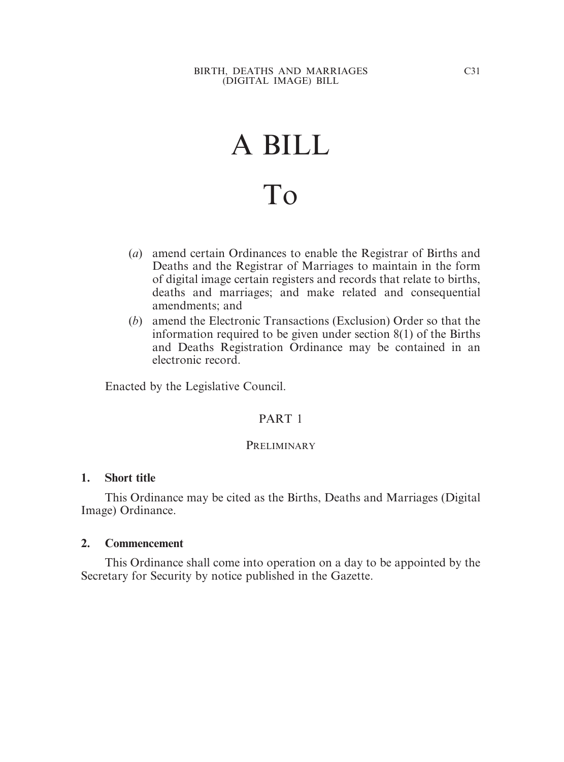# A BILL To

- (*a*) amend certain Ordinances to enable the Registrar of Births and Deaths and the Registrar of Marriages to maintain in the form of digital image certain registers and records that relate to births, deaths and marriages; and make related and consequential amendments; and
- (*b*) amend the Electronic Transactions (Exclusion) Order so that the information required to be given under section 8(1) of the Births and Deaths Registration Ordinance may be contained in an electronic record.

Enacted by the Legislative Council.

#### PART 1

#### **PRELIMINARY**

#### **1. Short title**

This Ordinance may be cited as the Births, Deaths and Marriages (Digital Image) Ordinance.

#### **2. Commencement**

This Ordinance shall come into operation on a day to be appointed by the Secretary for Security by notice published in the Gazette.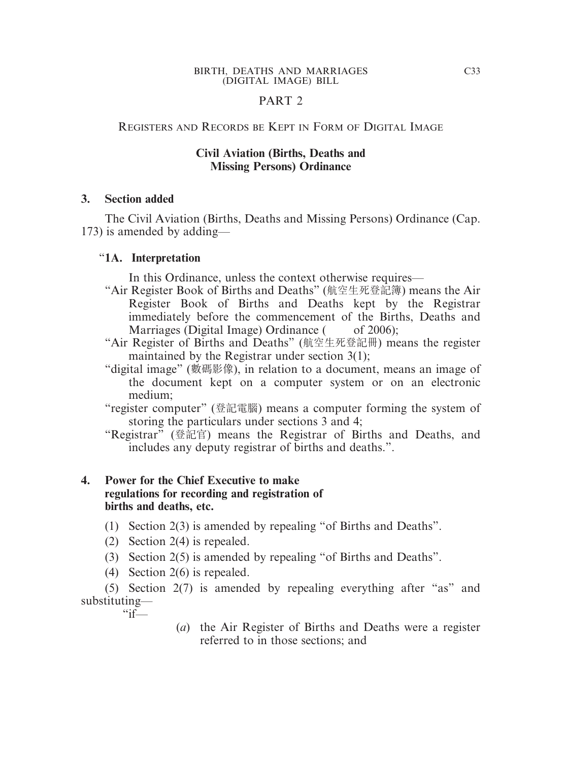# PART 2

#### REGISTERS AND RECORDS BE KEPT IN FORM OF DIGITAL IMAGE

#### **Civil Aviation (Births, Deaths and Missing Persons) Ordinance**

#### **3. Section added**

The Civil Aviation (Births, Deaths and Missing Persons) Ordinance (Cap. 173) is amended by adding—

#### "**1A. Interpretation**

In this Ordinance, unless the context otherwise requires—

- "Air Register Book of Births and Deaths" (航空生死登記簿) means the Air Register Book of Births and Deaths kept by the Registrar immediately before the commencement of the Births, Deaths and Marriages (Digital Image) Ordinance  $($  of 2006);
- "Air Register of Births and Deaths" (航空生死登記冊) means the register maintained by the Registrar under section 3(1);
- "digital image" (數碼影像), in relation to a document, means an image of the document kept on a computer system or on an electronic medium;
- "register computer" (登記電腦) means a computer forming the system of storing the particulars under sections 3 and 4;
- "Registrar" (登記官) means the Registrar of Births and Deaths, and includes any deputy registrar of births and deaths.".

## **4. Power for the Chief Executive to make regulations for recording and registration of births and deaths, etc.**

- (1) Section 2(3) is amended by repealing "of Births and Deaths".
- (2) Section 2(4) is repealed.
- (3) Section 2(5) is amended by repealing "of Births and Deaths".
- (4) Section 2(6) is repealed.

(5) Section 2(7) is amended by repealing everything after "as" and substituting—  $\frac{a}{1}$ 

> (*a*) the Air Register of Births and Deaths were a register referred to in those sections; and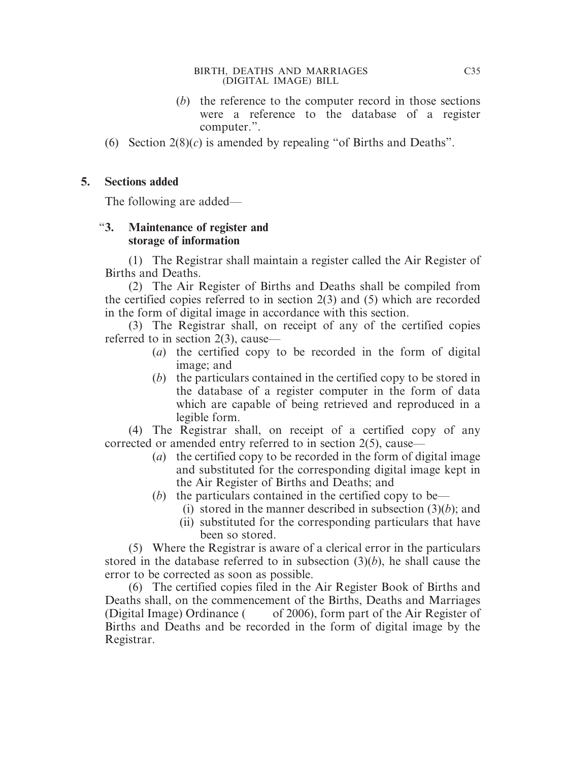- (*b*) the reference to the computer record in those sections were a reference to the database of a register computer.".
- (6) Section 2(8)(*c*) is amended by repealing "of Births and Deaths".

#### **5. Sections added**

The following are added—

## "**3. Maintenance of register and storage of information**

(1) The Registrar shall maintain a register called the Air Register of Births and Deaths.

(2) The Air Register of Births and Deaths shall be compiled from the certified copies referred to in section 2(3) and (5) which are recorded in the form of digital image in accordance with this section.

(3) The Registrar shall, on receipt of any of the certified copies referred to in section 2(3), cause—

- (*a*) the certified copy to be recorded in the form of digital image; and
- (*b*) the particulars contained in the certified copy to be stored in the database of a register computer in the form of data which are capable of being retrieved and reproduced in a legible form.

(4) The Registrar shall, on receipt of a certified copy of any corrected or amended entry referred to in section 2(5), cause—

- (*a*) the certified copy to be recorded in the form of digital image and substituted for the corresponding digital image kept in the Air Register of Births and Deaths; and
- (*b*) the particulars contained in the certified copy to be—
	- (i) stored in the manner described in subsection  $(3)(b)$ ; and
	- (ii) substituted for the corresponding particulars that have been so stored.

(5) Where the Registrar is aware of a clerical error in the particulars stored in the database referred to in subsection (3)(*b*), he shall cause the error to be corrected as soon as possible.

(6) The certified copies filed in the Air Register Book of Births and Deaths shall, on the commencement of the Births, Deaths and Marriages (Digital Image) Ordinance  $($  of 2006), form part of the Air Register of Births and Deaths and be recorded in the form of digital image by the Registrar.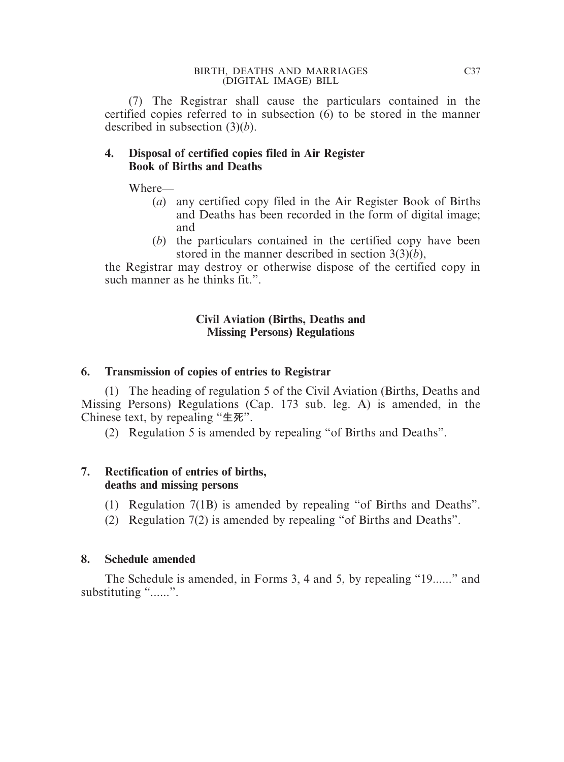(7) The Registrar shall cause the particulars contained in the certified copies referred to in subsection (6) to be stored in the manner described in subsection (3)(*b*).

#### **4. Disposal of certified copies filed in Air Register Book of Births and Deaths**

Where—

- (*a*) any certified copy filed in the Air Register Book of Births and Deaths has been recorded in the form of digital image; and
- (*b*) the particulars contained in the certified copy have been stored in the manner described in section 3(3)(*b*),

the Registrar may destroy or otherwise dispose of the certified copy in such manner as he thinks fit.".

# **Civil Aviation (Births, Deaths and Missing Persons) Regulations**

# **6. Transmission of copies of entries to Registrar**

(1) The heading of regulation 5 of the Civil Aviation (Births, Deaths and Missing Persons) Regulations (Cap. 173 sub. leg. A) is amended, in the Chinese text, by repealing "**生死**".

(2) Regulation 5 is amended by repealing "of Births and Deaths".

# **7. Rectification of entries of births, deaths and missing persons**

- (1) Regulation 7(1B) is amended by repealing "of Births and Deaths".
- (2) Regulation 7(2) is amended by repealing "of Births and Deaths".

# **8. Schedule amended**

The Schedule is amended, in Forms 3, 4 and 5, by repealing "19......" and substituting "......".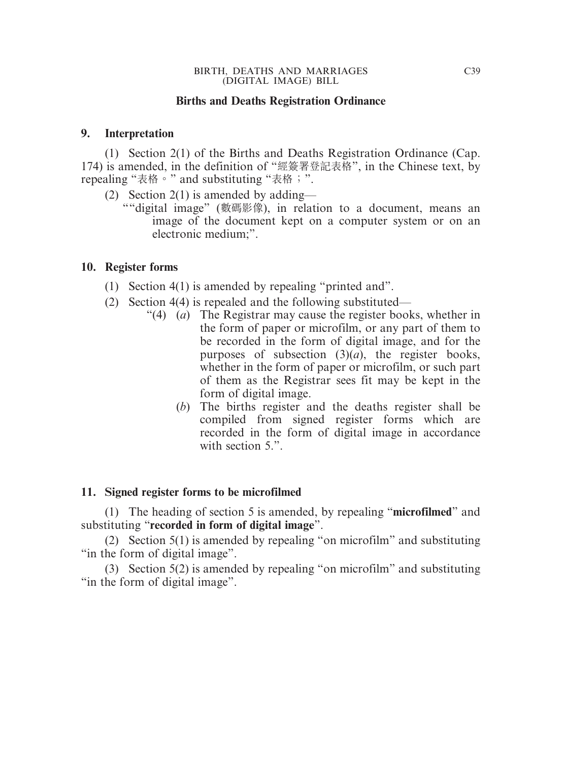#### **Births and Deaths Registration Ordinance**

#### **9. Interpretation**

(1) Section 2(1) of the Births and Deaths Registration Ordinance (Cap. 174) is amended, in the definition of "經簽署登記表格", in the Chinese text, by repealing "表格。" and substituting "表格;".

- (2) Section 2(1) is amended by adding—
	- ""digital image" (數碼影像), in relation to a document, means an image of the document kept on a computer system or on an electronic medium;".

#### **10. Register forms**

- (1) Section 4(1) is amended by repealing "printed and".
- (2) Section 4(4) is repealed and the following substituted—
	- "(4) (*a*) The Registrar may cause the register books, whether in the form of paper or microfilm, or any part of them to be recorded in the form of digital image, and for the purposes of subsection  $(3)(a)$ , the register books, whether in the form of paper or microfilm, or such part of them as the Registrar sees fit may be kept in the form of digital image.
		- (*b*) The births register and the deaths register shall be compiled from signed register forms which are recorded in the form of digital image in accordance with section 5.".

#### **11. Signed register forms to be microfilmed**

(1) The heading of section 5 is amended, by repealing "**microfilmed**" and substituting "**recorded in form of digital image**".

(2) Section 5(1) is amended by repealing "on microfilm" and substituting "in the form of digital image".

(3) Section 5(2) is amended by repealing "on microfilm" and substituting "in the form of digital image".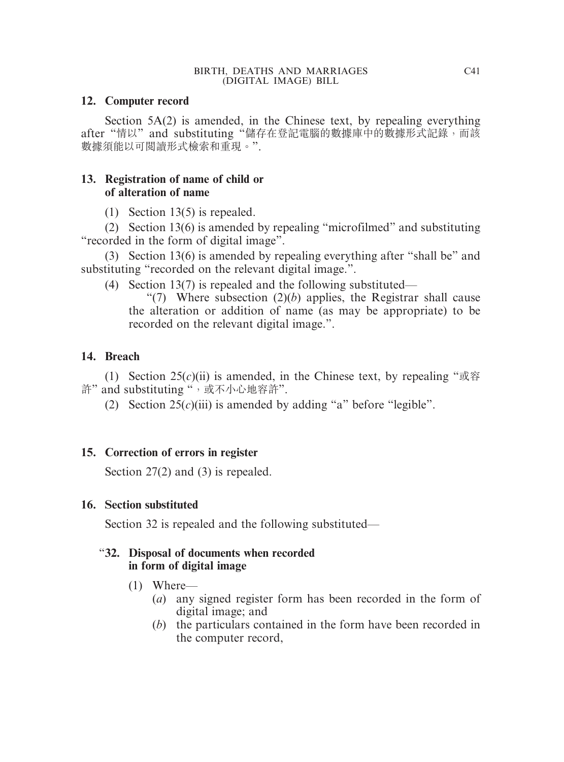# **12. Computer record**

Section 5A(2) is amended, in the Chinese text, by repealing everything after "情以" and substituting "儲存在登記電腦的數據庫中的數據形式記錄,而該 數據須能以可閱讀形式檢索和重現。".

# **13. Registration of name of child or of alteration of name**

(1) Section 13(5) is repealed.

(2) Section 13(6) is amended by repealing "microfilmed" and substituting "recorded in the form of digital image".

(3) Section 13(6) is amended by repealing everything after "shall be" and substituting "recorded on the relevant digital image.".

(4) Section 13(7) is repealed and the following substituted—

"(7) Where subsection  $(2)(b)$  applies, the Registrar shall cause the alteration or addition of name (as may be appropriate) to be recorded on the relevant digital image.".

# **14. Breach**

(1) Section  $25(c)(ii)$  is amended, in the Chinese text, by repealing " $\mathbb{R}$ <sup>\*</sup>  $\mathbb{R}$ 許" and substituting ", 或不小心地容許".

(2) Section  $25(c)(iii)$  is amended by adding "a" before "legible".

# **15. Correction of errors in register**

Section 27(2) and (3) is repealed.

# **16. Section substituted**

Section 32 is repealed and the following substituted—

# "**32. Disposal of documents when recorded in form of digital image**

- (1) Where—
	- (*a*) any signed register form has been recorded in the form of digital image; and
	- (*b*) the particulars contained in the form have been recorded in the computer record,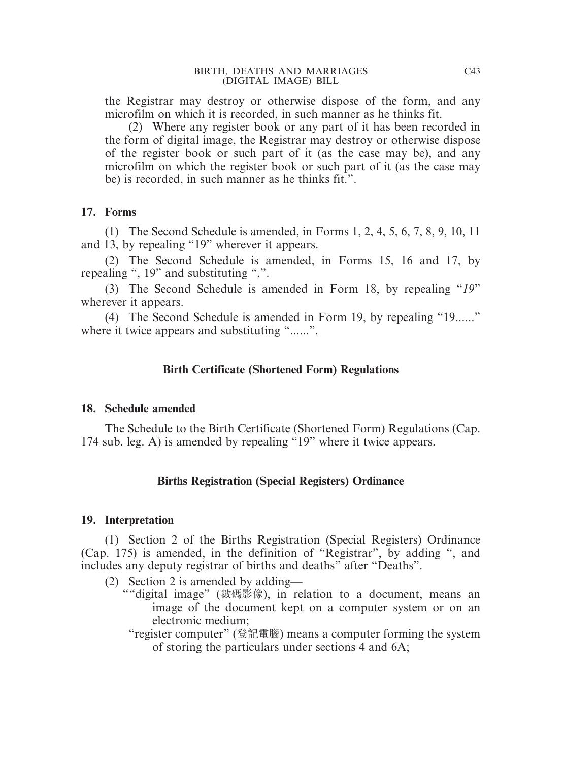the Registrar may destroy or otherwise dispose of the form, and any microfilm on which it is recorded, in such manner as he thinks fit.

(2) Where any register book or any part of it has been recorded in the form of digital image, the Registrar may destroy or otherwise dispose of the register book or such part of it (as the case may be), and any microfilm on which the register book or such part of it (as the case may be) is recorded, in such manner as he thinks fit.".

#### **17. Forms**

(1) The Second Schedule is amended, in Forms 1, 2, 4, 5, 6, 7, 8, 9, 10, 11 and 13, by repealing "19" wherever it appears.

(2) The Second Schedule is amended, in Forms 15, 16 and 17, by repealing ", 19" and substituting ",".

(3) The Second Schedule is amended in Form 18, by repealing "*19*" wherever it appears.

(4) The Second Schedule is amended in Form 19, by repealing "19......" where it twice appears and substituting "......".

# **Birth Certificate (Shortened Form) Regulations**

#### **18. Schedule amended**

The Schedule to the Birth Certificate (Shortened Form) Regulations (Cap. 174 sub. leg. A) is amended by repealing "19" where it twice appears.

# **Births Registration (Special Registers) Ordinance**

#### **19. Interpretation**

(1) Section 2 of the Births Registration (Special Registers) Ordinance (Cap. 175) is amended, in the definition of "Registrar", by adding ", and includes any deputy registrar of births and deaths" after "Deaths".

- (2) Section 2 is amended by adding—
	- ""digital image" (數碼影像), in relation to a document, means an image of the document kept on a computer system or on an electronic medium;
		- "register computer" (登記電腦) means a computer forming the system of storing the particulars under sections 4 and 6A;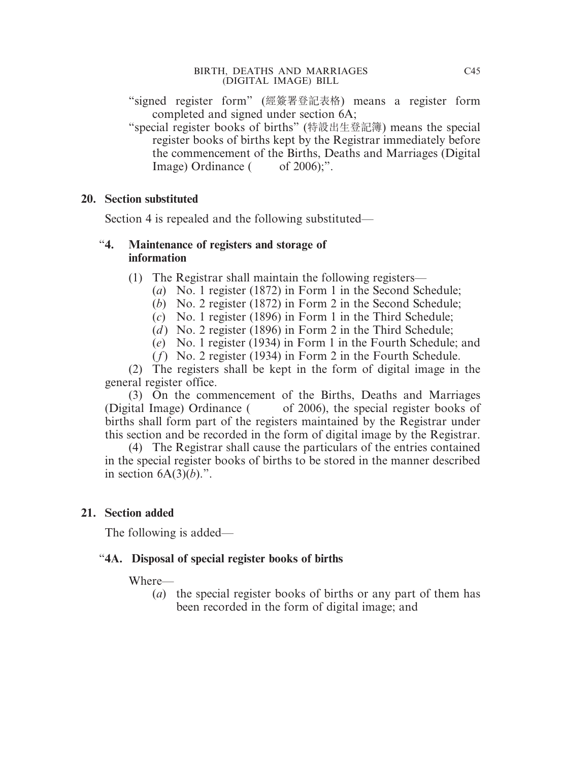"signed register form" (經簽署登記表格) means a register form completed and signed under section 6A;

"special register books of births" (特設出生登記簿) means the special register books of births kept by the Registrar immediately before the commencement of the Births, Deaths and Marriages (Digital Image) Ordinance  $($  of 2006);".

#### **20. Section substituted**

Section 4 is repealed and the following substituted—

## "**4. Maintenance of registers and storage of information**

- (1) The Registrar shall maintain the following registers—
	- (*a*) No. 1 register (1872) in Form 1 in the Second Schedule;
	- (*b*) No. 2 register (1872) in Form 2 in the Second Schedule;
	- (*c*) No. 1 register (1896) in Form 1 in the Third Schedule;
	- (*d*) No. 2 register (1896) in Form 2 in the Third Schedule;
	- (*e*) No. 1 register (1934) in Form 1 in the Fourth Schedule; and
	- (*f*) No. 2 register (1934) in Form 2 in the Fourth Schedule.

(2) The registers shall be kept in the form of digital image in the general register office.

(3) On the commencement of the Births, Deaths and Marriages (Digital Image) Ordinance ( of 2006), the special register books of births shall form part of the registers maintained by the Registrar under this section and be recorded in the form of digital image by the Registrar.

(4) The Registrar shall cause the particulars of the entries contained in the special register books of births to be stored in the manner described in section  $6A(3)(b)$ .".

## **21. Section added**

The following is added—

## "**4A. Disposal of special register books of births**

Where—

(*a*) the special register books of births or any part of them has been recorded in the form of digital image; and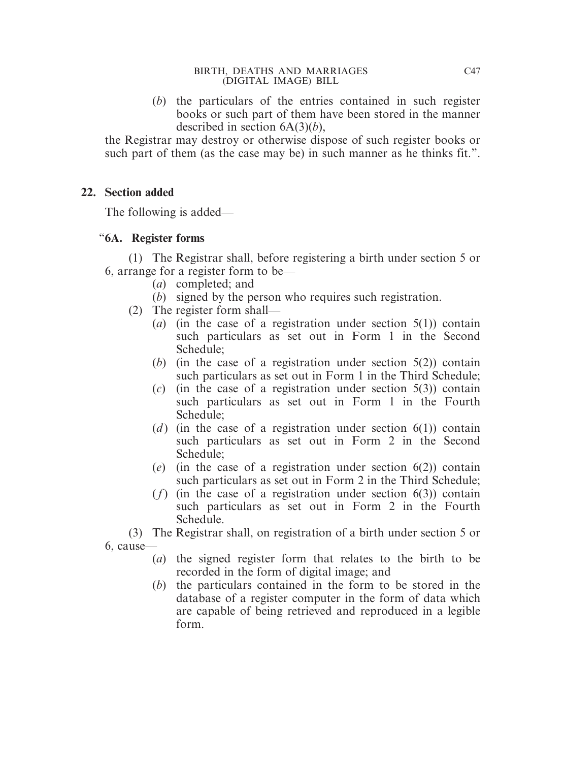(*b*) the particulars of the entries contained in such register books or such part of them have been stored in the manner described in section 6A(3)(*b*),

the Registrar may destroy or otherwise dispose of such register books or such part of them (as the case may be) in such manner as he thinks fit.".

#### **22. Section added**

The following is added—

## "**6A. Register forms**

(1) The Registrar shall, before registering a birth under section 5 or 6, arrange for a register form to be—

- (*a*) completed; and
- (*b*) signed by the person who requires such registration.
- (2) The register form shall—
	- (*a*) (in the case of a registration under section 5(1)) contain such particulars as set out in Form 1 in the Second Schedule;
	- (*b*) (in the case of a registration under section 5(2)) contain such particulars as set out in Form 1 in the Third Schedule;
	- (*c*) (in the case of a registration under section 5(3)) contain such particulars as set out in Form 1 in the Fourth Schedule;
	- (*d*) (in the case of a registration under section  $6(1)$ ) contain such particulars as set out in Form 2 in the Second Schedule;
	- (*e*) (in the case of a registration under section 6(2)) contain such particulars as set out in Form 2 in the Third Schedule;
	- (*f*) (in the case of a registration under section 6(3)) contain such particulars as set out in Form 2 in the Fourth Schedule.

(3) The Registrar shall, on registration of a birth under section 5 or 6, cause—

- (*a*) the signed register form that relates to the birth to be recorded in the form of digital image; and
- (*b*) the particulars contained in the form to be stored in the database of a register computer in the form of data which are capable of being retrieved and reproduced in a legible form.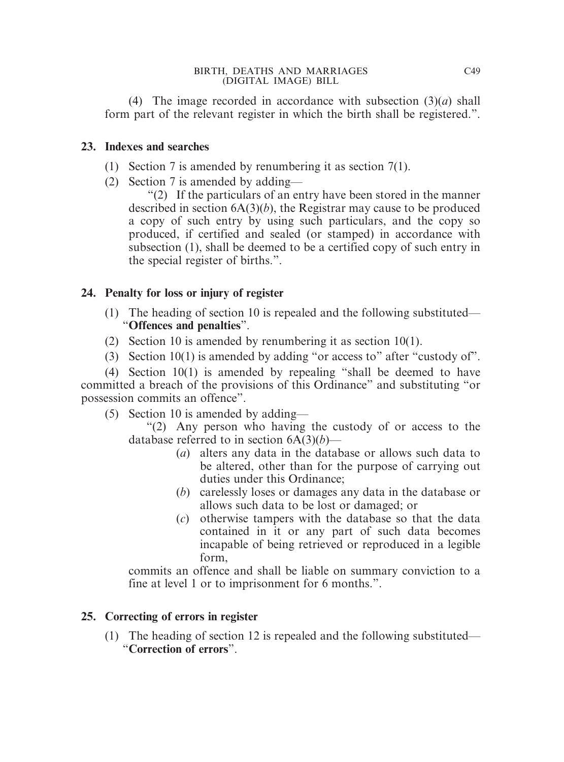(4) The image recorded in accordance with subsection (3)(*a*) shall form part of the relevant register in which the birth shall be registered.".

#### **23. Indexes and searches**

- (1) Section 7 is amended by renumbering it as section 7(1).
- (2) Section 7 is amended by adding—

"(2) If the particulars of an entry have been stored in the manner described in section 6A(3)(*b*), the Registrar may cause to be produced a copy of such entry by using such particulars, and the copy so produced, if certified and sealed (or stamped) in accordance with subsection (1), shall be deemed to be a certified copy of such entry in the special register of births.".

# **24. Penalty for loss or injury of register**

- (1) The heading of section 10 is repealed and the following substituted— "**Offences and penalties**".
- (2) Section 10 is amended by renumbering it as section 10(1).
- (3) Section  $10(1)$  is amended by adding "or access to" after "custody of".

(4) Section 10(1) is amended by repealing "shall be deemed to have committed a breach of the provisions of this Ordinance" and substituting "or possession commits an offence".

(5) Section 10 is amended by adding—

"(2) Any person who having the custody of or access to the database referred to in section 6A(3)(*b*)—

- (*a*) alters any data in the database or allows such data to be altered, other than for the purpose of carrying out duties under this Ordinance;
- (*b*) carelessly loses or damages any data in the database or allows such data to be lost or damaged; or
- (*c*) otherwise tampers with the database so that the data contained in it or any part of such data becomes incapable of being retrieved or reproduced in a legible form,

commits an offence and shall be liable on summary conviction to a fine at level 1 or to imprisonment for 6 months.".

# **25. Correcting of errors in register**

(1) The heading of section 12 is repealed and the following substituted— "**Correction of errors**".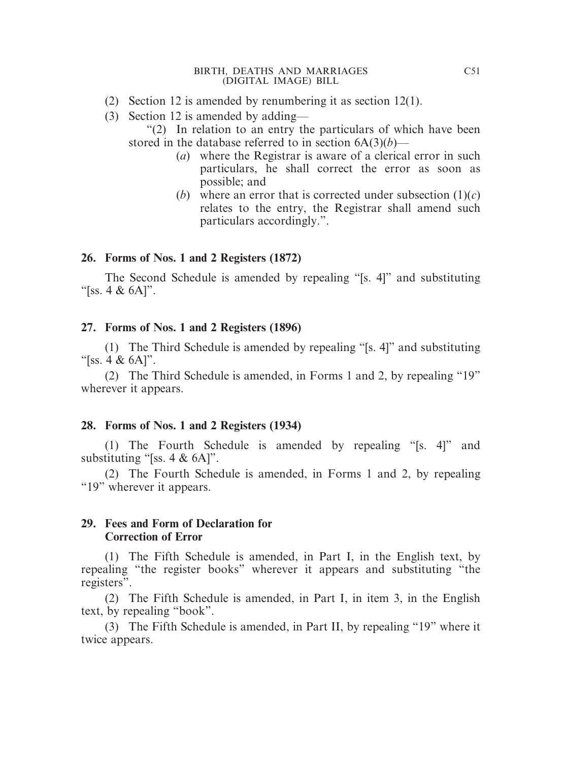- (2) Section 12 is amended by renumbering it as section 12(1).
- (3) Section 12 is amended by adding—

"(2) In relation to an entry the particulars of which have been stored in the database referred to in section  $6A(3)(b)$ —

- (*a*) where the Registrar is aware of a clerical error in such particulars, he shall correct the error as soon as possible; and
- (*b*) where an error that is corrected under subsection  $(1)(c)$ relates to the entry, the Registrar shall amend such particulars accordingly.".

# **26. Forms of Nos. 1 and 2 Registers (1872)**

The Second Schedule is amended by repealing "[s. 4]" and substituting "[ss. 4 & 6A]".

**27. Forms of Nos. 1 and 2 Registers (1896)**

(1) The Third Schedule is amended by repealing "[s. 4]" and substituting "[ss. 4  $\&$  6A]".

(2) The Third Schedule is amended, in Forms 1 and 2, by repealing "19" wherever it appears.

## **28. Forms of Nos. 1 and 2 Registers (1934)**

(1) The Fourth Schedule is amended by repealing "[s. 4]" and substituting "[ss. 4 & 6A]".

(2) The Fourth Schedule is amended, in Forms 1 and 2, by repealing "19" wherever it appears.

## **29. Fees and Form of Declaration for Correction of Error**

(1) The Fifth Schedule is amended, in Part I, in the English text, by repealing "the register books" wherever it appears and substituting "the registers".

(2) The Fifth Schedule is amended, in Part I, in item 3, in the English text, by repealing "book".

(3) The Fifth Schedule is amended, in Part II, by repealing "19" where it twice appears.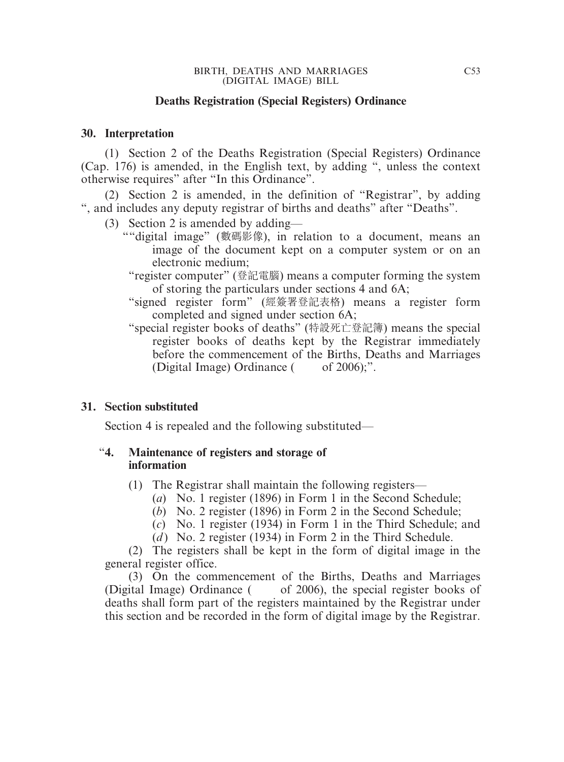#### **Deaths Registration (Special Registers) Ordinance**

#### **30. Interpretation**

(1) Section 2 of the Deaths Registration (Special Registers) Ordinance (Cap. 176) is amended, in the English text, by adding ", unless the context otherwise requires" after "In this Ordinance".

(2) Section 2 is amended, in the definition of "Registrar", by adding ", and includes any deputy registrar of births and deaths" after "Deaths".

- (3) Section 2 is amended by adding—
	- ""digital image" (數碼影像), in relation to a document, means an image of the document kept on a computer system or on an electronic medium;
		- "register computer" (登記電腦) means a computer forming the system of storing the particulars under sections 4 and 6A;
		- "signed register form" (經簽署登記表格) means a register form completed and signed under section 6A;
		- "special register books of deaths" (特設死亡登記簿) means the special register books of deaths kept by the Registrar immediately before the commencement of the Births, Deaths and Marriages (Digital Image) Ordinance  $($  of 2006);".

#### **31. Section substituted**

Section 4 is repealed and the following substituted—

#### "**4. Maintenance of registers and storage of information**

- (1) The Registrar shall maintain the following registers—
	- (*a*) No. 1 register (1896) in Form 1 in the Second Schedule;
	- (*b*) No. 2 register (1896) in Form 2 in the Second Schedule;
	- (*c*) No. 1 register (1934) in Form 1 in the Third Schedule; and
	- (*d*) No. 2 register (1934) in Form 2 in the Third Schedule.

(2) The registers shall be kept in the form of digital image in the general register office.

(3) On the commencement of the Births, Deaths and Marriages (Digital Image) Ordinance ( of 2006), the special register books of deaths shall form part of the registers maintained by the Registrar under this section and be recorded in the form of digital image by the Registrar.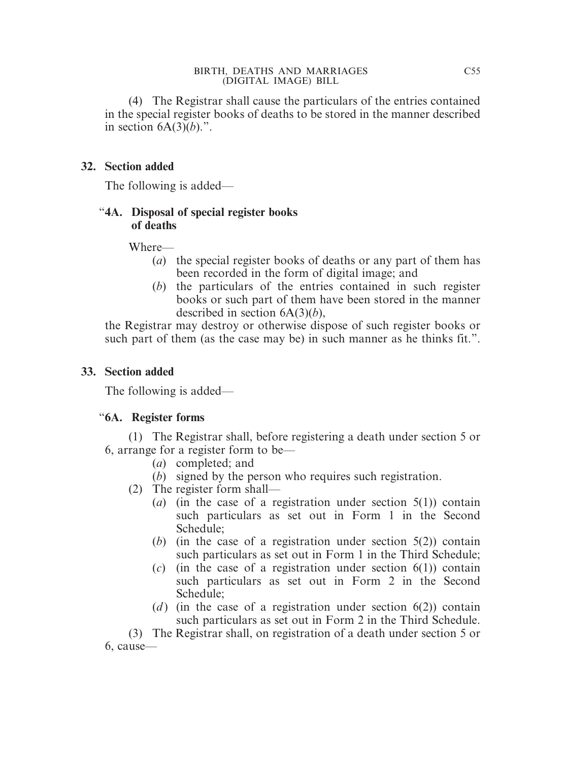(4) The Registrar shall cause the particulars of the entries contained in the special register books of deaths to be stored in the manner described in section  $6A(3)(b)$ .".

# **32. Section added**

The following is added—

# "**4A. Disposal of special register books of deaths**

## Where—

- (*a*) the special register books of deaths or any part of them has been recorded in the form of digital image; and
- (*b*) the particulars of the entries contained in such register books or such part of them have been stored in the manner described in section 6A(3)(*b*),

the Registrar may destroy or otherwise dispose of such register books or such part of them (as the case may be) in such manner as he thinks fit.".

## **33. Section added**

The following is added—

# "**6A. Register forms**

(1) The Registrar shall, before registering a death under section 5 or 6, arrange for a register form to be—

- (*a*) completed; and
- (*b*) signed by the person who requires such registration.
- (2) The register form shall—
	- (*a*) (in the case of a registration under section 5(1)) contain such particulars as set out in Form 1 in the Second Schedule;
	- (*b*) (in the case of a registration under section 5(2)) contain such particulars as set out in Form 1 in the Third Schedule;
	- (*c*) (in the case of a registration under section 6(1)) contain such particulars as set out in Form 2 in the Second Schedule;
	- (*d*) (in the case of a registration under section  $6(2)$ ) contain such particulars as set out in Form 2 in the Third Schedule.

(3) The Registrar shall, on registration of a death under section 5 or 6, cause—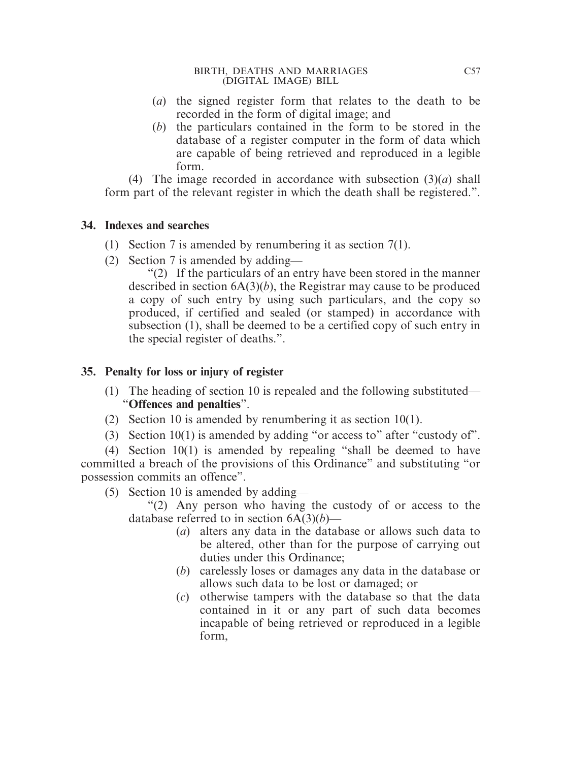- (*a*) the signed register form that relates to the death to be recorded in the form of digital image; and
- (*b*) the particulars contained in the form to be stored in the database of a register computer in the form of data which are capable of being retrieved and reproduced in a legible form.

(4) The image recorded in accordance with subsection (3)(*a*) shall form part of the relevant register in which the death shall be registered.".

## **34. Indexes and searches**

- (1) Section 7 is amended by renumbering it as section 7(1).
- (2) Section 7 is amended by adding—

"(2) If the particulars of an entry have been stored in the manner described in section 6A(3)(*b*), the Registrar may cause to be produced a copy of such entry by using such particulars, and the copy so produced, if certified and sealed (or stamped) in accordance with subsection (1), shall be deemed to be a certified copy of such entry in the special register of deaths.".

# **35. Penalty for loss or injury of register**

- (1) The heading of section 10 is repealed and the following substituted— "**Offences and penalties**".
- (2) Section 10 is amended by renumbering it as section 10(1).
- (3) Section  $10(1)$  is amended by adding "or access to" after "custody of".

(4) Section 10(1) is amended by repealing "shall be deemed to have committed a breach of the provisions of this Ordinance" and substituting "or possession commits an offence".

- (5) Section 10 is amended by adding—
	- "(2) Any person who having the custody of or access to the database referred to in section 6A(3)(*b*)—
		- (*a*) alters any data in the database or allows such data to be altered, other than for the purpose of carrying out duties under this Ordinance;
		- (*b*) carelessly loses or damages any data in the database or allows such data to be lost or damaged; or
		- (*c*) otherwise tampers with the database so that the data contained in it or any part of such data becomes incapable of being retrieved or reproduced in a legible form,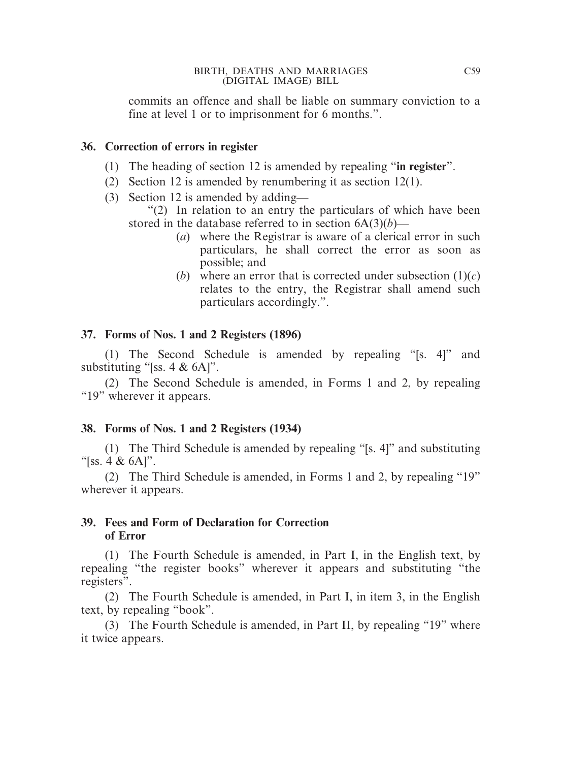commits an offence and shall be liable on summary conviction to a fine at level 1 or to imprisonment for 6 months.".

#### **36. Correction of errors in register**

- (1) The heading of section 12 is amended by repealing "**in register**".
- (2) Section 12 is amended by renumbering it as section 12(1).
- (3) Section 12 is amended by adding—

"(2) In relation to an entry the particulars of which have been stored in the database referred to in section 6A(3)(*b*)—

- (*a*) where the Registrar is aware of a clerical error in such particulars, he shall correct the error as soon as possible; and
- (*b*) where an error that is corrected under subsection  $(1)(c)$ relates to the entry, the Registrar shall amend such particulars accordingly.".

## **37. Forms of Nos. 1 and 2 Registers (1896)**

(1) The Second Schedule is amended by repealing "[s. 4]" and substituting "[ss. 4 & 6A]".

(2) The Second Schedule is amended, in Forms 1 and 2, by repealing "19" wherever it appears.

## **38. Forms of Nos. 1 and 2 Registers (1934)**

(1) The Third Schedule is amended by repealing "[s. 4]" and substituting " $[ss. 4 & 6A]''.$ 

(2) The Third Schedule is amended, in Forms 1 and 2, by repealing "19" wherever it appears.

## **39. Fees and Form of Declaration for Correction of Error**

(1) The Fourth Schedule is amended, in Part I, in the English text, by repealing "the register books" wherever it appears and substituting "the registers".

(2) The Fourth Schedule is amended, in Part I, in item 3, in the English text, by repealing "book".

(3) The Fourth Schedule is amended, in Part II, by repealing "19" where it twice appears.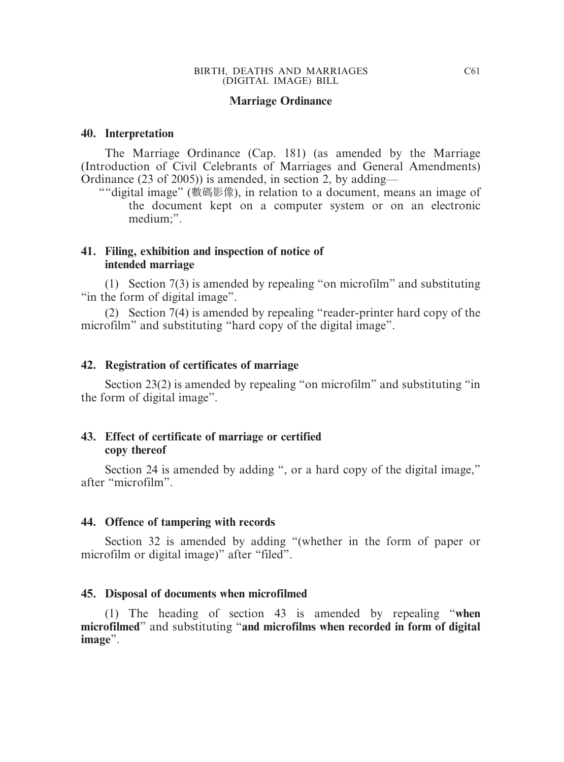#### **Marriage Ordinance**

#### **40. Interpretation**

The Marriage Ordinance (Cap. 181) (as amended by the Marriage (Introduction of Civil Celebrants of Marriages and General Amendments) Ordinance (23 of 2005)) is amended, in section 2, by adding—

""digital image" (數碼影像), in relation to a document, means an image of the document kept on a computer system or on an electronic medium;".

#### **41. Filing, exhibition and inspection of notice of intended marriage**

(1) Section 7(3) is amended by repealing "on microfilm" and substituting "in the form of digital image".

(2) Section 7(4) is amended by repealing "reader-printer hard copy of the microfilm" and substituting "hard copy of the digital image".

#### **42. Registration of certificates of marriage**

Section 23(2) is amended by repealing "on microfilm" and substituting "in the form of digital image".

#### **43. Effect of certificate of marriage or certified copy thereof**

Section 24 is amended by adding ", or a hard copy of the digital image," after "microfilm".

#### **44. Offence of tampering with records**

Section 32 is amended by adding "(whether in the form of paper or microfilm or digital image)" after "filed".

#### **45. Disposal of documents when microfilmed**

(1) The heading of section 43 is amended by repealing "**when microfilmed**" and substituting "**and microfilms when recorded in form of digital image**".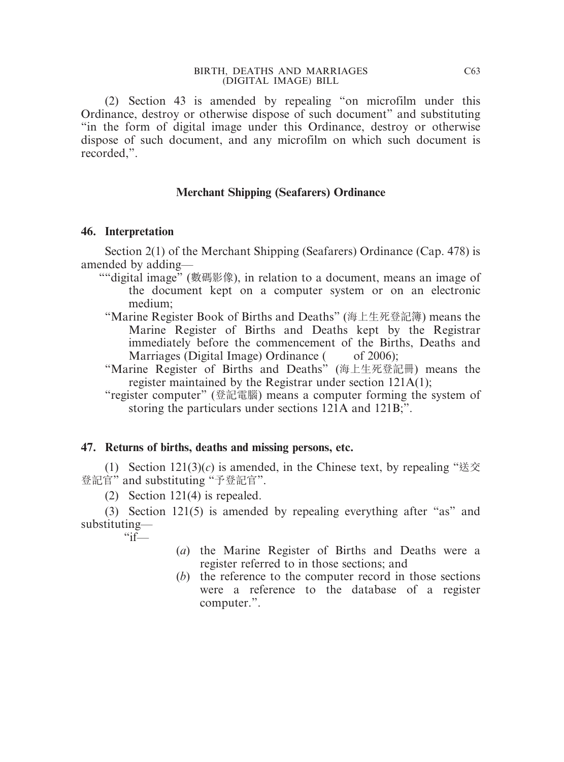(2) Section 43 is amended by repealing "on microfilm under this Ordinance, destroy or otherwise dispose of such document" and substituting "in the form of digital image under this Ordinance, destroy or otherwise dispose of such document, and any microfilm on which such document is recorded,".

#### **Merchant Shipping (Seafarers) Ordinance**

#### **46. Interpretation**

Section 2(1) of the Merchant Shipping (Seafarers) Ordinance (Cap. 478) is amended by adding—

- ""digital image" (數碼影像), in relation to a document, means an image of the document kept on a computer system or on an electronic medium;
	- "Marine Register Book of Births and Deaths" (海上生死登記簿) means the Marine Register of Births and Deaths kept by the Registrar immediately before the commencement of the Births, Deaths and Marriages (Digital Image) Ordinance  $($  of 2006);
	- "Marine Register of Births and Deaths" (海上生死登記冊) means the register maintained by the Registrar under section 121A(1);
	- "register computer" (登記電腦) means a computer forming the system of storing the particulars under sections 121A and 121B;".

#### **47. Returns of births, deaths and missing persons, etc.**

(1) Section  $121(3)(c)$  is amended, in the Chinese text, by repealing "送交" 登記官" and substituting "予登記官".

(2) Section 121(4) is repealed.

(3) Section 121(5) is amended by repealing everything after "as" and substituting—  $\frac{1}{\cdot}$ 

- (*a*) the Marine Register of Births and Deaths were a register referred to in those sections; and
- (*b*) the reference to the computer record in those sections were a reference to the database of a register computer.".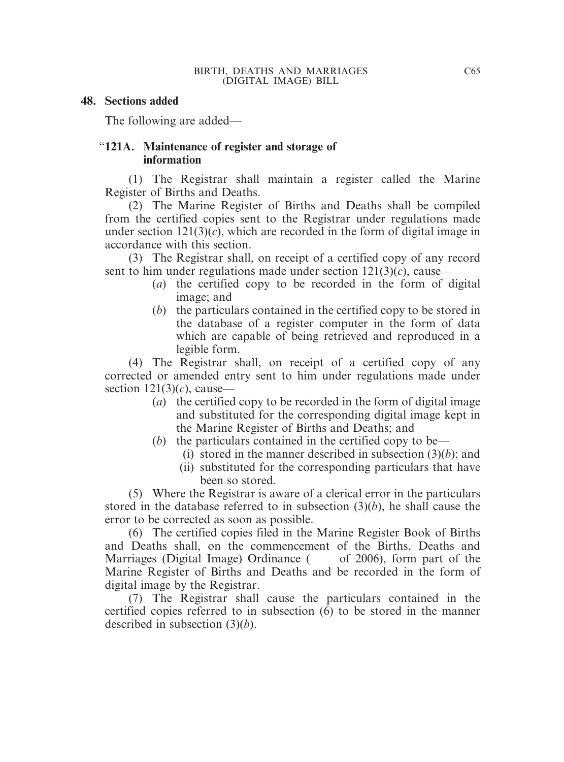#### **48. Sections added**

The following are added—

#### "**121A. Maintenance of register and storage of information**

(1) The Registrar shall maintain a register called the Marine Register of Births and Deaths.

(2) The Marine Register of Births and Deaths shall be compiled from the certified copies sent to the Registrar under regulations made under section  $121(3)(c)$ , which are recorded in the form of digital image in accordance with this section.

(3) The Registrar shall, on receipt of a certified copy of any record sent to him under regulations made under section  $121(3)(c)$ , cause—

- (*a*) the certified copy to be recorded in the form of digital image; and
- (*b*) the particulars contained in the certified copy to be stored in the database of a register computer in the form of data which are capable of being retrieved and reproduced in a legible form.

(4) The Registrar shall, on receipt of a certified copy of any corrected or amended entry sent to him under regulations made under section  $121(3)(c)$ , cause—

- (*a*) the certified copy to be recorded in the form of digital image and substituted for the corresponding digital image kept in the Marine Register of Births and Deaths; and
- (*b*) the particulars contained in the certified copy to be—
	- (i) stored in the manner described in subsection (3)(*b*); and
	- (ii) substituted for the corresponding particulars that have been so stored.

(5) Where the Registrar is aware of a clerical error in the particulars stored in the database referred to in subsection (3)(*b*), he shall cause the error to be corrected as soon as possible.

(6) The certified copies filed in the Marine Register Book of Births and Deaths shall, on the commencement of the Births, Deaths and Marriages (Digital Image) Ordinance ( of 2006), form part of the Marine Register of Births and Deaths and be recorded in the form of digital image by the Registrar.

(7) The Registrar shall cause the particulars contained in the certified copies referred to in subsection (6) to be stored in the manner described in subsection (3)(*b*).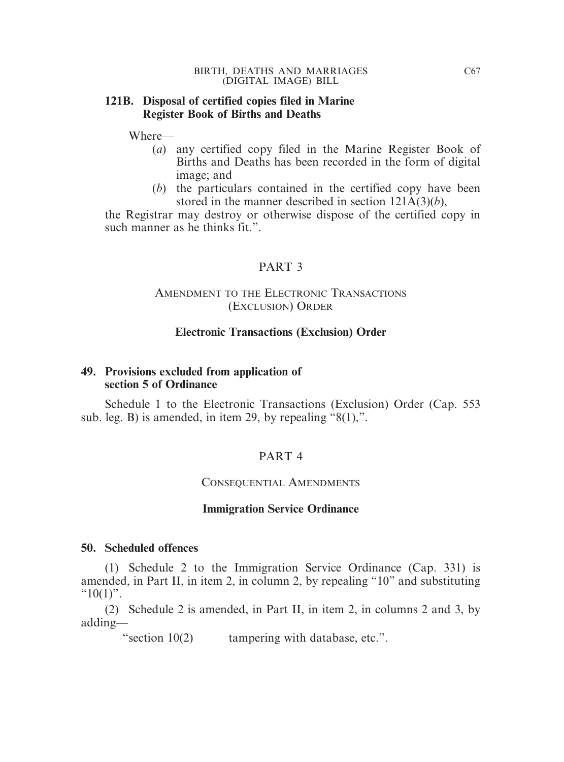#### **121B. Disposal of certified copies filed in Marine Register Book of Births and Deaths**

Where—

- (*a*) any certified copy filed in the Marine Register Book of Births and Deaths has been recorded in the form of digital image; and
- (*b*) the particulars contained in the certified copy have been stored in the manner described in section 121A(3)(*b*),

the Registrar may destroy or otherwise dispose of the certified copy in such manner as he thinks fit.".

# PART 3

## AMENDMENT TO THE ELECTRONIC TRANSACTIONS (EXCLUSION) ORDER

## **Electronic Transactions (Exclusion) Order**

## **49. Provisions excluded from application of section 5 of Ordinance**

Schedule 1 to the Electronic Transactions (Exclusion) Order (Cap. 553 sub. leg. B) is amended, in item 29, by repealing "8(1),".

# PART 4

## CONSEQUENTIAL AMENDMENTS

## **Immigration Service Ordinance**

#### **50. Scheduled offences**

(1) Schedule 2 to the Immigration Service Ordinance (Cap. 331) is amended, in Part II, in item 2, in column 2, by repealing "10" and substituting " $10(1)$ ".

(2) Schedule 2 is amended, in Part II, in item 2, in columns 2 and 3, by adding—

"section 10(2) tampering with database, etc.".